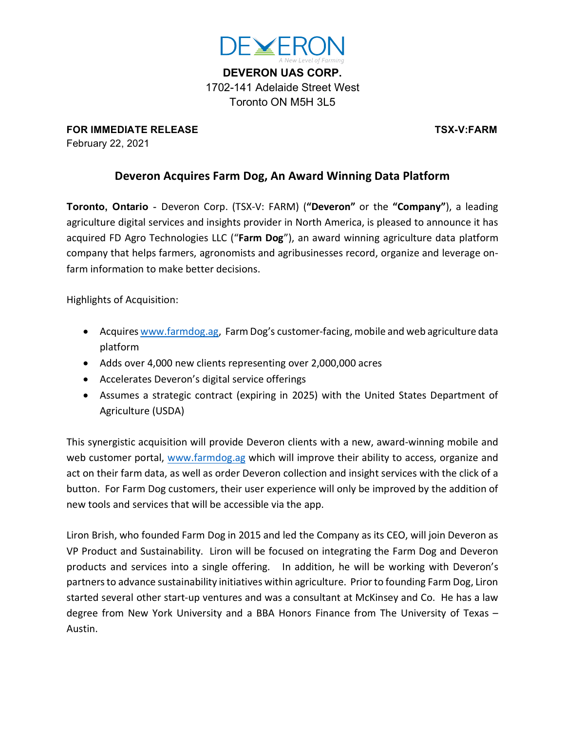

**DEVERON UAS CORP.** 1702-141 Adelaide Street West Toronto ON M5H 3L5

**FOR IMMEDIATE RELEASE TSX-V:FARM** February 22, 2021

## **Deveron Acquires Farm Dog, An Award Winning Data Platform**

**Toronto, Ontario** - Deveron Corp. (TSX-V: FARM) (**"Deveron"** or the **"Company"**), a leading agriculture digital services and insights provider in North America, is pleased to announce it has acquired FD Agro Technologies LLC ("**Farm Dog**"), an award winning agriculture data platform company that helps farmers, agronomists and agribusinesses record, organize and leverage onfarm information to make better decisions. 

Highlights of Acquisition:

- Acquires www.farmdog.ag, Farm Dog's customer-facing, mobile and web agriculture data platform
- Adds over 4,000 new clients representing over 2,000,000 acres
- Accelerates Deveron's digital service offerings
- Assumes a strategic contract (expiring in 2025) with the United States Department of Agriculture (USDA)

This synergistic acquisition will provide Deveron clients with a new, award-winning mobile and web customer portal, www.farmdog.ag which will improve their ability to access, organize and act on their farm data, as well as order Deveron collection and insight services with the click of a button. For Farm Dog customers, their user experience will only be improved by the addition of new tools and services that will be accessible via the app.

Liron Brish, who founded Farm Dog in 2015 and led the Company as its CEO, will join Deveron as VP Product and Sustainability. Liron will be focused on integrating the Farm Dog and Deveron products and services into a single offering. In addition, he will be working with Deveron's partners to advance sustainability initiatives within agriculture. Prior to founding Farm Dog, Liron started several other start-up ventures and was a consultant at McKinsey and Co. He has a law degree from New York University and a BBA Honors Finance from The University of Texas – Austin.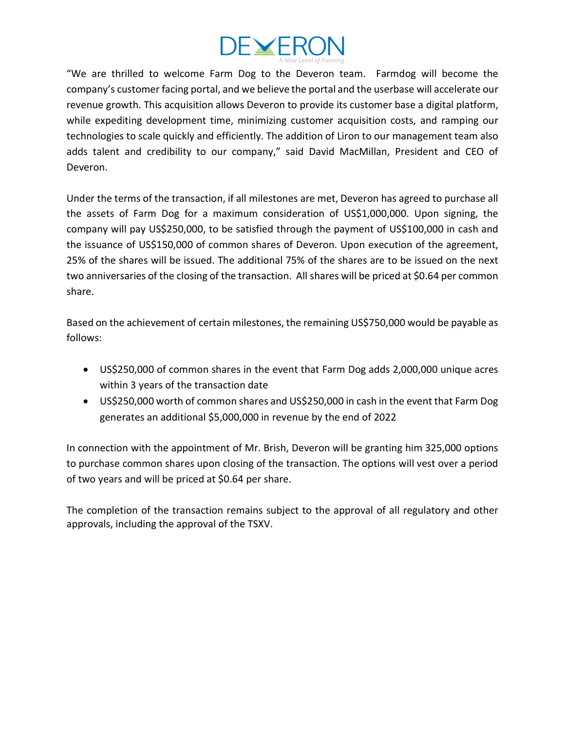

"We are thrilled to welcome Farm Dog to the Deveron team. Farmdog will become the company's customer facing portal, and we believe the portal and the userbase will accelerate our revenue growth. This acquisition allows Deveron to provide its customer base a digital platform, while expediting development time, minimizing customer acquisition costs, and ramping our technologies to scale quickly and efficiently. The addition of Liron to our management team also adds talent and credibility to our company," said David MacMillan, President and CEO of Deveron.

Under the terms of the transaction, if all milestones are met, Deveron has agreed to purchase all the assets of Farm Dog for a maximum consideration of US\$1,000,000. Upon signing, the company will pay US\$250,000, to be satisfied through the payment of US\$100,000 in cash and the issuance of US\$150,000 of common shares of Deveron. Upon execution of the agreement, 25% of the shares will be issued. The additional 75% of the shares are to be issued on the next two anniversaries of the closing of the transaction. All shares will be priced at \$0.64 per common share.

Based on the achievement of certain milestones, the remaining US\$750,000 would be payable as follows:

- US\$250,000 of common shares in the event that Farm Dog adds 2,000,000 unique acres within 3 years of the transaction date
- US\$250,000 worth of common shares and US\$250,000 in cash in the event that Farm Dog generates an additional \$5,000,000 in revenue by the end of 2022

In connection with the appointment of Mr. Brish, Deveron will be granting him 325,000 options to purchase common shares upon closing of the transaction. The options will vest over a period of two years and will be priced at \$0.64 per share.

The completion of the transaction remains subject to the approval of all regulatory and other approvals, including the approval of the TSXV.